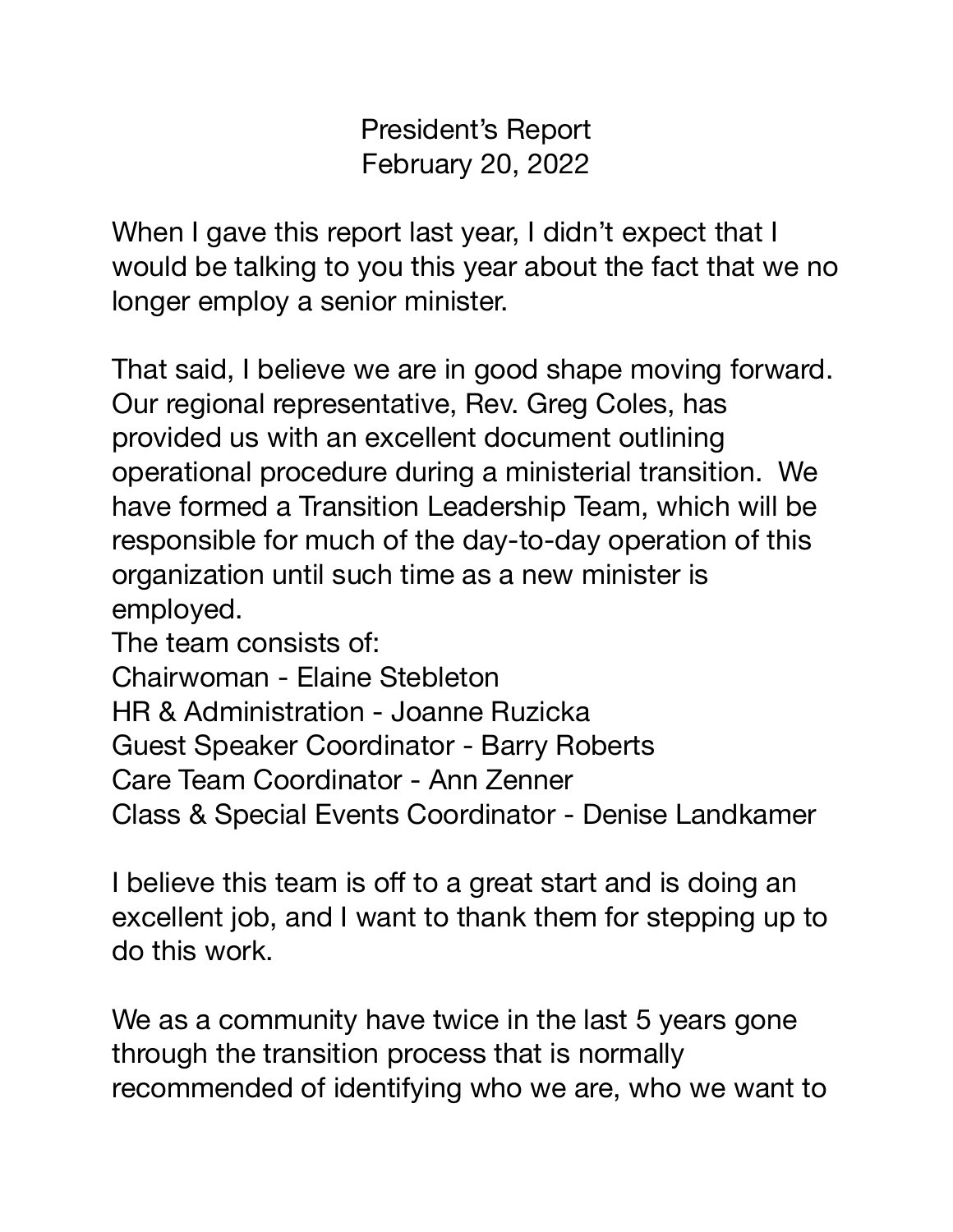President's Report February 20, 2022

When I gave this report last year, I didn't expect that I would be talking to you this year about the fact that we no longer employ a senior minister.

That said, I believe we are in good shape moving forward. Our regional representative, Rev. Greg Coles, has provided us with an excellent document outlining operational procedure during a ministerial transition. We have formed a Transition Leadership Team, which will be responsible for much of the day-to-day operation of this organization until such time as a new minister is employed.

The team consists of:

Chairwoman - Elaine Stebleton

HR & Administration - Joanne Ruzicka

Guest Speaker Coordinator - Barry Roberts

Care Team Coordinator - Ann Zenner

Class & Special Events Coordinator - Denise Landkamer

I believe this team is off to a great start and is doing an excellent job, and I want to thank them for stepping up to do this work.

We as a community have twice in the last 5 years gone through the transition process that is normally recommended of identifying who we are, who we want to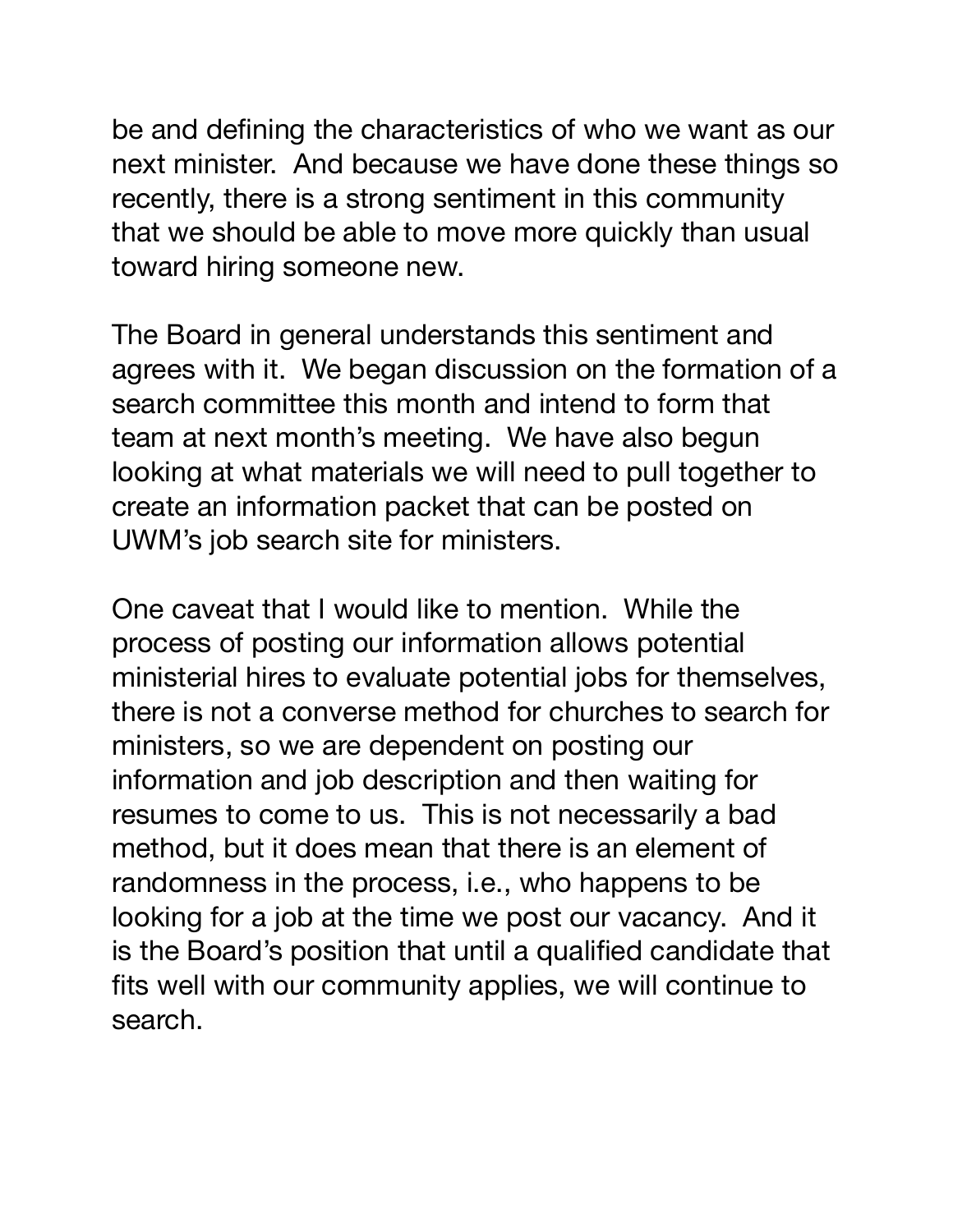be and defining the characteristics of who we want as our next minister. And because we have done these things so recently, there is a strong sentiment in this community that we should be able to move more quickly than usual toward hiring someone new.

The Board in general understands this sentiment and agrees with it. We began discussion on the formation of a search committee this month and intend to form that team at next month's meeting. We have also begun looking at what materials we will need to pull together to create an information packet that can be posted on UWM's job search site for ministers.

One caveat that I would like to mention. While the process of posting our information allows potential ministerial hires to evaluate potential jobs for themselves, there is not a converse method for churches to search for ministers, so we are dependent on posting our information and job description and then waiting for resumes to come to us. This is not necessarily a bad method, but it does mean that there is an element of randomness in the process, i.e., who happens to be looking for a job at the time we post our vacancy. And it is the Board's position that until a qualified candidate that fits well with our community applies, we will continue to search.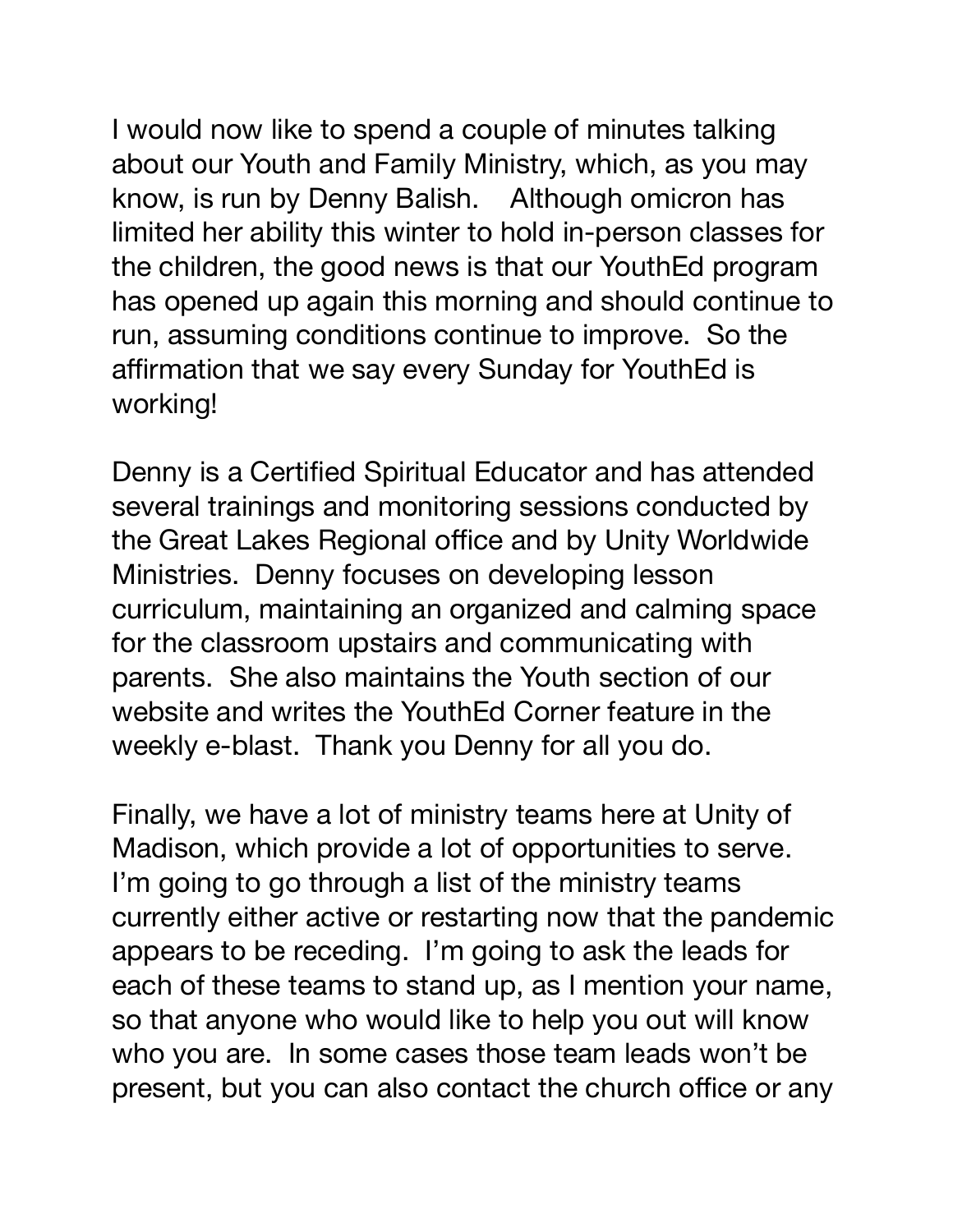I would now like to spend a couple of minutes talking about our Youth and Family Ministry, which, as you may know, is run by Denny Balish. Although omicron has limited her ability this winter to hold in-person classes for the children, the good news is that our YouthEd program has opened up again this morning and should continue to run, assuming conditions continue to improve. So the affirmation that we say every Sunday for YouthEd is working!

Denny is a Certified Spiritual Educator and has attended several trainings and monitoring sessions conducted by the Great Lakes Regional office and by Unity Worldwide Ministries. Denny focuses on developing lesson curriculum, maintaining an organized and calming space for the classroom upstairs and communicating with parents. She also maintains the Youth section of our website and writes the YouthEd Corner feature in the weekly e-blast. Thank you Denny for all you do.

Finally, we have a lot of ministry teams here at Unity of Madison, which provide a lot of opportunities to serve. I'm going to go through a list of the ministry teams currently either active or restarting now that the pandemic appears to be receding. I'm going to ask the leads for each of these teams to stand up, as I mention your name, so that anyone who would like to help you out will know who you are. In some cases those team leads won't be present, but you can also contact the church office or any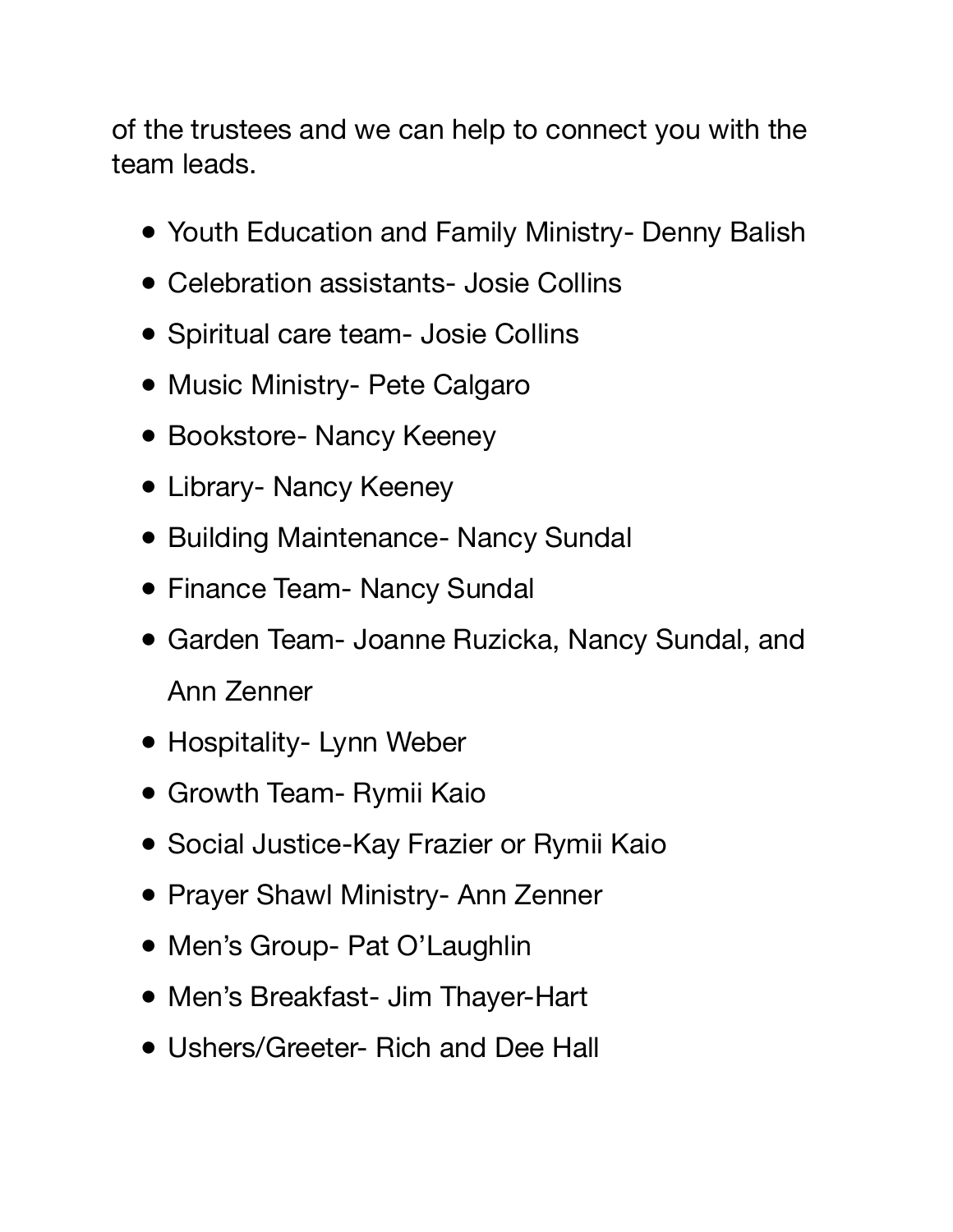of the trustees and we can help to connect you with the team leads.

- Youth Education and Family Ministry- Denny Balish
- Celebration assistants- Josie Collins
- Spiritual care team- Josie Collins
- Music Ministry- Pete Calgaro
- Bookstore- Nancy Keeney
- Library- Nancy Keeney
- Building Maintenance- Nancy Sundal
- Finance Team- Nancy Sundal
- Garden Team- Joanne Ruzicka, Nancy Sundal, and Ann Zenner
- Hospitality- Lynn Weber
- Growth Team- Rymii Kaio
- Social Justice-Kay Frazier or Rymii Kaio
- Prayer Shawl Ministry- Ann Zenner
- Men's Group- Pat O'Laughlin
- Men's Breakfast- Jim Thayer-Hart
- Ushers/Greeter- Rich and Dee Hall